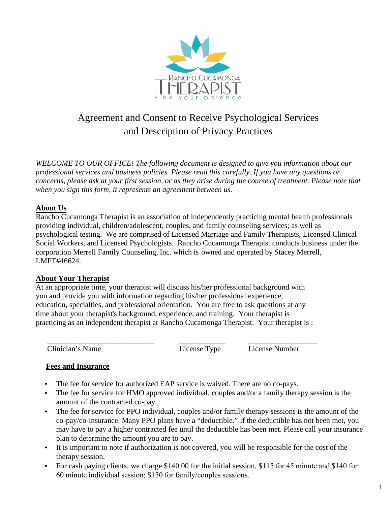

# Agreement and Consent to Receive Psychological Services and Description of Privacy Practices

*WELCOME TO OUR OFFICE! The following document is designed to give you information about our professional services and business policies. Please read this carefully. If you have any questions or concerns, please ask at your first session, or as they arise during the course of treatment. Please note that when you sign this form, it represents an agreement between us.* 

# **About Us**

Rancho Cucamonga Therapist is an association of independently practicing mental health professionals providing individual, children/adolescent, couples, and family counseling services; as well as psychological testing. We are comprised of Licensed Marriage and Family Therapists, Licensed Clinical Social Workers, and Licensed Psychologists. Rancho Cucamonga Therapist conducts business under the corporation Merrell Family Counseling, Inc. which is owned and operated by Stacey Merrell, LMFT#46624.

# **About Your Therapist**

At an appropriate time, your therapist will discuss his/her professional background with you and provide you with information regarding his/her professional experience, education, specialties, and professional orientation. You are free to ask questions at any time about your therapist's background, experience, and training. Your therapist is practicing as an independent therapist at Rancho Cucamonga Therapist. Your therapist is :

\_\_\_\_\_\_\_\_\_\_\_\_\_\_\_\_\_\_\_\_\_\_\_\_\_\_\_\_ \_\_\_\_\_\_\_\_\_\_\_\_ \_\_\_\_\_\_\_\_\_\_\_\_\_\_\_\_\_\_

Clinician's Name License Type License Number

# **Fees and Insurance**

- The fee for service for authorized EAP service is waived. There are no co-pays.
- The fee for service for HMO approved individual, couples and/or a family therapy session is the amount of the contracted co-pay.
- The fee for service for PPO individual, couples and/or family therapy sessions is the amount of the co-pay/co-insurance. Many PPO plans have a "deductible." If the deductible has not been met, you may have to pay a higher contracted fee until the deductible has been met. Please call your insurance plan to determine the amount you are to pay.
- It is important to note if authorization is not covered, you will be responsible for the cost of the therapy session.
- For cash paying clients, we charge \$140.00 for the initial session, \$115 for 45 minute and \$140 for 60 minute individual session; \$150 for family/couples sessions.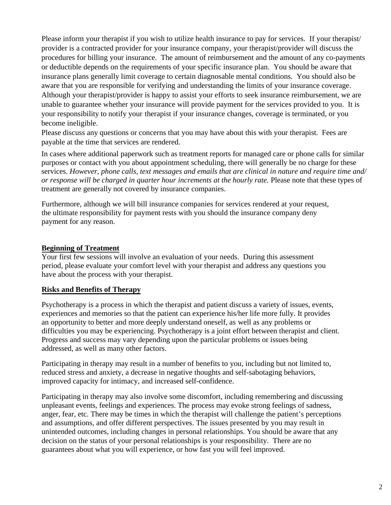Please inform your therapist if you wish to utilize health insurance to pay for services. If your therapist/ provider is a contracted provider for your insurance company, your therapist/provider will discuss the procedures for billing your insurance. The amount of reimbursement and the amount of any co-payments or deductible depends on the requirements of your specific insurance plan. You should be aware that insurance plans generally limit coverage to certain diagnosable mental conditions. You should also be aware that you are responsible for verifying and understanding the limits of your insurance coverage. Although your therapist/provider is happy to assist your efforts to seek insurance reimbursement, we are unable to guarantee whether your insurance will provide payment for the services provided to you. It is your responsibility to notify your therapist if your insurance changes, coverage is terminated, or you become ineligible.

Please discuss any questions or concerns that you may have about this with your therapist. Fees are payable at the time that services are rendered.

In cases where additional paperwork such as treatment reports for managed care or phone calls for similar purposes or contact with you about appointment scheduling, there will generally be no charge for these services. *However, phone calls, text messages and emails that are clinical in nature and require time and/ or response will be charged in quarter hour increments at the hourly rate.* Please note that these types of treatment are generally not covered by insurance companies.

Furthermore, although we will bill insurance companies for services rendered at your request, the ultimate responsibility for payment rests with you should the insurance company deny payment for any reason.

#### **Beginning of Treatment**

Your first few sessions will involve an evaluation of your needs. During this assessment period, please evaluate your comfort level with your therapist and address any questions you have about the process with your therapist.

#### **Risks and Benefits of Therapy**

Psychotherapy is a process in which the therapist and patient discuss a variety of issues, events, experiences and memories so that the patient can experience his/her life more fully. It provides an opportunity to better and more deeply understand oneself, as well as any problems or difficulties you may be experiencing. Psychotherapy is a joint effort between therapist and client. Progress and success may vary depending upon the particular problems or issues being addressed, as well as many other factors.

Participating in therapy may result in a number of benefits to you, including but not limited to, reduced stress and anxiety, a decrease in negative thoughts and self-sabotaging behaviors, improved capacity for intimacy, and increased self-confidence.

Participating in therapy may also involve some discomfort, including remembering and discussing unpleasant events, feelings and experiences. The process may evoke strong feelings of sadness, anger, fear, etc. There may be times in which the therapist will challenge the patient's perceptions and assumptions, and offer different perspectives. The issues presented by you may result in unintended outcomes, including changes in personal relationships. You should be aware that any decision on the status of your personal relationships is your responsibility. There are no guarantees about what you will experience, or how fast you will feel improved.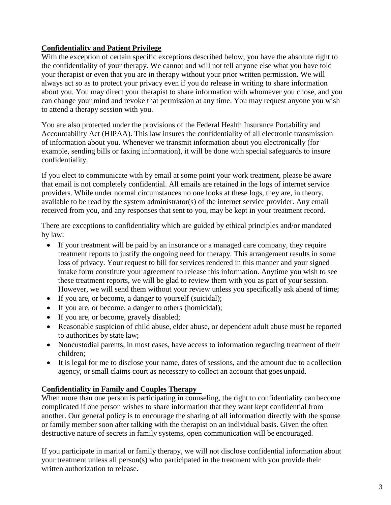# **Confidentiality and Patient Privilege**

With the exception of certain specific exceptions described below, you have the absolute right to the confidentiality of your therapy. We cannot and will not tell anyone else what you have told your therapist or even that you are in therapy without your prior written permission. We will always act so as to protect your privacy even if you do release in writing to share information about you. You may direct your therapist to share information with whomever you chose, and you can change your mind and revoke that permission at any time. You may request anyone you wish to attend a therapy session with you.

You are also protected under the provisions of the Federal Health Insurance Portability and Accountability Act (HIPAA). This law insures the confidentiality of all electronic transmission of information about you. Whenever we transmit information about you electronically (for example, sending bills or faxing information), it will be done with special safeguards to insure confidentiality.

If you elect to communicate with by email at some point your work treatment, please be aware that email is not completely confidential. All emails are retained in the logs of internet service providers. While under normal circumstances no one looks at these logs, they are, in theory, available to be read by the system administrator(s) of the internet service provider. Any email received from you, and any responses that sent to you, may be kept in your treatment record.

There are exceptions to confidentiality which are guided by ethical principles and/or mandated by law:

- If your treatment will be paid by an insurance or a managed care company, they require treatment reports to justify the ongoing need for therapy. This arrangement results in some loss of privacy. Your request to bill for services rendered in this manner and your signed intake form constitute your agreement to release this information. Anytime you wish to see these treatment reports, we will be glad to review them with you as part of your session. However, we will send them without your review unless you specifically ask ahead of time;
- If you are, or become, a danger to yourself (suicidal);
- If you are, or become, a danger to others (homicidal);
- If you are, or become, gravely disabled;
- Reasonable suspicion of child abuse, elder abuse, or dependent adult abuse must be reported to authorities by state law;
- Noncustodial parents, in most cases, have access to information regarding treatment of their children;
- It is legal for me to disclose your name, dates of sessions, and the amount due to a collection agency, or small claims court as necessary to collect an account that goes unpaid.

# **Confidentiality in Family and Couples Therapy**

When more than one person is participating in counseling, the right to confidentiality can become complicated if one person wishes to share information that they want kept confidential from another. Our general policy is to encourage the sharing of all information directly with the spouse or family member soon after talking with the therapist on an individual basis. Given the often destructive nature of secrets in family systems, open communication will be encouraged.

If you participate in marital or family therapy, we will not disclose confidential information about your treatment unless all person(s) who participated in the treatment with you provide their written authorization to release.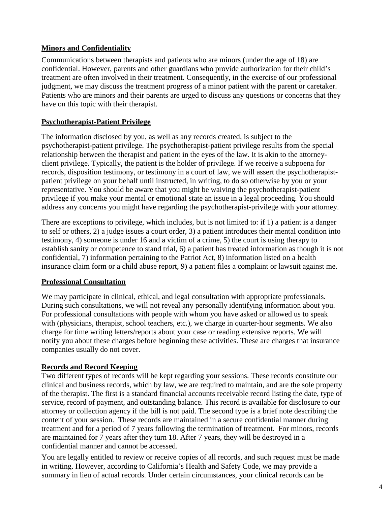# **Minors and Confidentiality**

Communications between therapists and patients who are minors (under the age of 18) are confidential. However, parents and other guardians who provide authorization for their child's treatment are often involved in their treatment. Consequently, in the exercise of our professional judgment, we may discuss the treatment progress of a minor patient with the parent or caretaker. Patients who are minors and their parents are urged to discuss any questions or concerns that they have on this topic with their therapist.

#### **Psychotherapist-Patient Privilege**

The information disclosed by you, as well as any records created, is subject to the psychotherapist-patient privilege. The psychotherapist-patient privilege results from the special relationship between the therapist and patient in the eyes of the law. It is akin to the attorneyclient privilege. Typically, the patient is the holder of privilege. If we receive a subpoena for records, disposition testimony, or testimony in a court of law, we will assert the psychotherapistpatient privilege on your behalf until instructed, in writing, to do so otherwise by you or your representative. You should be aware that you might be waiving the psychotherapist-patient privilege if you make your mental or emotional state an issue in a legal proceeding. You should address any concerns you might have regarding the psychotherapist-privilege with your attorney.

There are exceptions to privilege, which includes, but is not limited to: if 1) a patient is a danger to self or others, 2) a judge issues a court order, 3) a patient introduces their mental condition into testimony, 4) someone is under 16 and a victim of a crime, 5) the court is using therapy to establish sanity or competence to stand trial, 6) a patient has treated information as though it is not confidential, 7) information pertaining to the Patriot Act, 8) information listed on a health insurance claim form or a child abuse report, 9) a patient files a complaint or lawsuit against me.

#### **Professional Consultation**

We may participate in clinical, ethical, and legal consultation with appropriate professionals. During such consultations, we will not reveal any personally identifying information about you. For professional consultations with people with whom you have asked or allowed us to speak with (physicians, therapist, school teachers, etc.), we charge in quarter-hour segments. We also charge for time writing letters/reports about your case or reading extensive reports. We will notify you about these charges before beginning these activities. These are charges that insurance companies usually do not cover.

#### **Records and Record Keeping**

Two different types of records will be kept regarding your sessions. These records constitute our clinical and business records, which by law, we are required to maintain, and are the sole property of the therapist. The first is a standard financial accounts receivable record listing the date, type of service, record of payment, and outstanding balance. This record is available for disclosure to our attorney or collection agency if the bill is not paid. The second type is a brief note describing the content of your session. These records are maintained in a secure confidential manner during treatment and for a period of 7 years following the termination of treatment. For minors, records are maintained for 7 years after they turn 18. After 7 years, they will be destroyed in a confidential manner and cannot be accessed.

You are legally entitled to review or receive copies of all records, and such request must be made in writing. However, according to California's Health and Safety Code, we may provide a summary in lieu of actual records. Under certain circumstances, your clinical records can be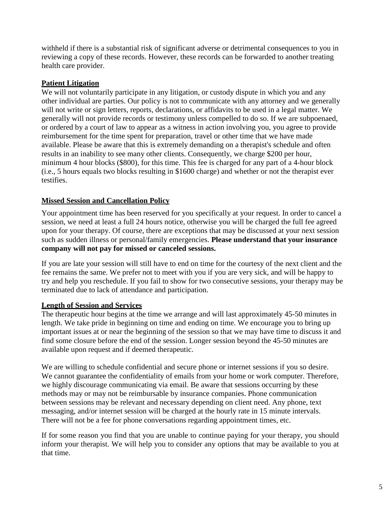withheld if there is a substantial risk of significant adverse or detrimental consequences to you in reviewing a copy of these records. However, these records can be forwarded to another treating health care provider.

#### **Patient Litigation**

We will not voluntarily participate in any litigation, or custody dispute in which you and any other individual are parties. Our policy is not to communicate with any attorney and we generally will not write or sign letters, reports, declarations, or affidavits to be used in a legal matter. We generally will not provide records or testimony unless compelled to do so. If we are subpoenaed, or ordered by a court of law to appear as a witness in action involving you, you agree to provide reimbursement for the time spent for preparation, travel or other time that we have made available. Please be aware that this is extremely demanding on a therapist's schedule and often results in an inability to see many other clients. Consequently, we charge \$200 per hour, minimum 4 hour blocks (\$800), for this time. This fee is charged for any part of a 4-hour block (i.e., 5 hours equals two blocks resulting in \$1600 charge) and whether or not the therapist ever testifies.

## **Missed Session and Cancellation Policy**

Your appointment time has been reserved for you specifically at your request. In order to cancel a session, we need at least a full 24 hours notice, otherwise you will be charged the full fee agreed upon for your therapy. Of course, there are exceptions that may be discussed at your next session such as sudden illness or personal/family emergencies. **Please understand that your insurance company will not pay for missed or canceled sessions.**

If you are late your session will still have to end on time for the courtesy of the next client and the fee remains the same. We prefer not to meet with you if you are very sick, and will be happy to try and help you reschedule. If you fail to show for two consecutive sessions, your therapy may be terminated due to lack of attendance and participation.

#### **Length of Session and Services**

The therapeutic hour begins at the time we arrange and will last approximately 45-50 minutes in length. We take pride in beginning on time and ending on time. We encourage you to bring up important issues at or near the beginning of the session so that we may have time to discuss it and find some closure before the end of the session. Longer session beyond the 45-50 minutes are available upon request and if deemed therapeutic.

We are willing to schedule confidential and secure phone or internet sessions if you so desire. We cannot guarantee the confidentiality of emails from your home or work computer. Therefore, we highly discourage communicating via email. Be aware that sessions occurring by these methods may or may not be reimbursable by insurance companies. Phone communication between sessions may be relevant and necessary depending on client need. Any phone, text messaging, and/or internet session will be charged at the hourly rate in 15 minute intervals. There will not be a fee for phone conversations regarding appointment times, etc.

If for some reason you find that you are unable to continue paying for your therapy, you should inform your therapist. We will help you to consider any options that may be available to you at that time.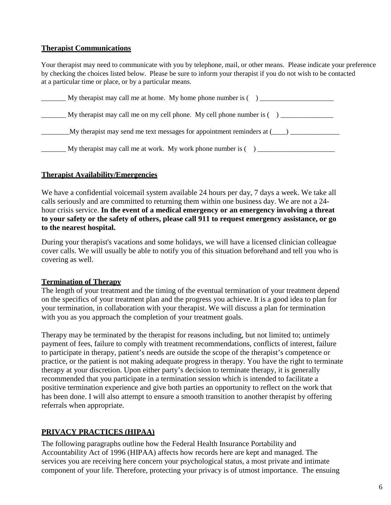## **Therapist Communications**

Your therapist may need to communicate with you by telephone, mail, or other means. Please indicate your preference by checking the choices listed below. Please be sure to inform your therapist if you do not wish to be contacted at a particular time or place, or by a particular means.

| My therapist may call me at home. My home phone number is $($ )                   |
|-----------------------------------------------------------------------------------|
| My therapist may call me on my cell phone. My cell phone number is $( )$ ________ |
| $\mu$ therapist may send me text messages for appointment reminders at $(\_\_)$   |
| My therapist may call me at work. My work phone number is $($ ) ______            |

# **Therapist Availability/Emergencies**

We have a confidential voicemail system available 24 hours per day, 7 days a week. We take all calls seriously and are committed to returning them within one business day. We are not a 24 hour crisis service. **In the event of a medical emergency or an emergency involving a threat to your safety or the safety of others, please call 911 to request emergency assistance, or go to the nearest hospital.**

During your therapist's vacations and some holidays, we will have a licensed clinician colleague cover calls. We will usually be able to notify you of this situation beforehand and tell you who is covering as well.

#### **Termination of Therapy**

The length of your treatment and the timing of the eventual termination of your treatment depend on the specifics of your treatment plan and the progress you achieve. It is a good idea to plan for your termination, in collaboration with your therapist. We will discuss a plan for termination with you as you approach the completion of your treatment goals.

Therapy may be terminated by the therapist for reasons including, but not limited to; untimely payment of fees, failure to comply with treatment recommendations, conflicts of interest, failure to participate in therapy, patient's needs are outside the scope of the therapist's competence or practice, or the patient is not making adequate progress in therapy. You have the right to terminate therapy at your discretion. Upon either party's decision to terminate therapy, it is generally recommended that you participate in a termination session which is intended to facilitate a positive termination experience and give both parties an opportunity to reflect on the work that has been done. I will also attempt to ensure a smooth transition to another therapist by offering referrals when appropriate.

# **PRIVACY PRACTICES (HIPAA)**

The following paragraphs outline how the Federal Health Insurance Portability and Accountability Act of 1996 (HIPAA) affects how records here are kept and managed. The services you are receiving here concern your psychological status, a most private and intimate component of your life. Therefore, protecting your privacy is of utmost importance. The ensuing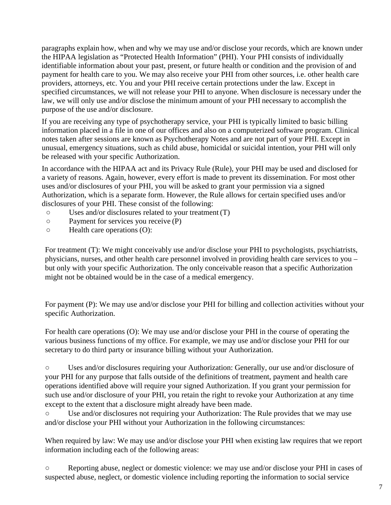paragraphs explain how, when and why we may use and/or disclose your records, which are known under the HIPAA legislation as "Protected Health Information" (PHI). Your PHI consists of individually identifiable information about your past, present, or future health or condition and the provision of and payment for health care to you. We may also receive your PHI from other sources, i.e. other health care providers, attorneys, etc. You and your PHI receive certain protections under the law. Except in specified circumstances, we will not release your PHI to anyone. When disclosure is necessary under the law, we will only use and/or disclose the minimum amount of your PHI necessary to accomplish the purpose of the use and/or disclosure.

If you are receiving any type of psychotherapy service, your PHI is typically limited to basic billing information placed in a file in one of our offices and also on a computerized software program. Clinical notes taken after sessions are known as Psychotherapy Notes and are not part of your PHI. Except in unusual, emergency situations, such as child abuse, homicidal or suicidal intention, your PHI will only be released with your specific Authorization.

In accordance with the HIPAA act and its Privacy Rule (Rule), your PHI may be used and disclosed for a variety of reasons. Again, however, every effort is made to prevent its dissemination. For most other uses and/or disclosures of your PHI, you will be asked to grant your permission via a signed Authorization, which is a separate form. However, the Rule allows for certain specified uses and/or disclosures of your PHI. These consist of the following:

- Uses and/or disclosures related to your treatment (T)
- Payment for services you receive (P)
- Health care operations (O):

For treatment (T): We might conceivably use and/or disclose your PHI to psychologists, psychiatrists, physicians, nurses, and other health care personnel involved in providing health care services to you – but only with your specific Authorization. The only conceivable reason that a specific Authorization might not be obtained would be in the case of a medical emergency.

For payment (P): We may use and/or disclose your PHI for billing and collection activities without your specific Authorization.

For health care operations (O): We may use and/or disclose your PHI in the course of operating the various business functions of my office. For example, we may use and/or disclose your PHI for our secretary to do third party or insurance billing without your Authorization.

○ Uses and/or disclosures requiring your Authorization: Generally, our use and/or disclosure of your PHI for any purpose that falls outside of the definitions of treatment, payment and health care operations identified above will require your signed Authorization. If you grant your permission for such use and/or disclosure of your PHI, you retain the right to revoke your Authorization at any time except to the extent that a disclosure might already have been made.

Use and/or disclosures not requiring your Authorization: The Rule provides that we may use and/or disclose your PHI without your Authorization in the following circumstances:

When required by law: We may use and/or disclose your PHI when existing law requires that we report information including each of the following areas:

Reporting abuse, neglect or domestic violence: we may use and/or disclose your PHI in cases of suspected abuse, neglect, or domestic violence including reporting the information to social service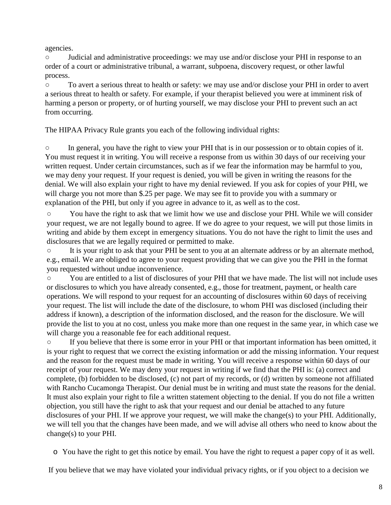agencies.

○ Judicial and administrative proceedings: we may use and/or disclose your PHI in response to an order of a court or administrative tribunal, a warrant, subpoena, discovery request, or other lawful process.

○ To avert a serious threat to health or safety: we may use and/or disclose your PHI in order to avert a serious threat to health or safety. For example, if your therapist believed you were at imminent risk of harming a person or property, or of hurting yourself, we may disclose your PHI to prevent such an act from occurring.

The HIPAA Privacy Rule grants you each of the following individual rights:

○ In general, you have the right to view your PHI that is in our possession or to obtain copies of it. You must request it in writing. You will receive a response from us within 30 days of our receiving your written request. Under certain circumstances, such as if we fear the information may be harmful to you, we may deny your request. If your request is denied, you will be given in writing the reasons for the denial. We will also explain your right to have my denial reviewed. If you ask for copies of your PHI, we will charge you not more than \$.25 per page. We may see fit to provide you with a summary or explanation of the PHI, but only if you agree in advance to it, as well as to the cost.

○ You have the right to ask that we limit how we use and disclose your PHI. While we will consider your request, we are not legally bound to agree. If we do agree to your request, we will put those limits in writing and abide by them except in emergency situations. You do not have the right to limit the uses and disclosures that we are legally required or permitted to make.

○ It is your right to ask that your PHI be sent to you at an alternate address or by an alternate method, e.g., email. We are obliged to agree to your request providing that we can give you the PHI in the format you requested without undue inconvenience.

○ You are entitled to a list of disclosures of your PHI that we have made. The list will not include uses or disclosures to which you have already consented, e.g., those for treatment, payment, or health care operations. We will respond to your request for an accounting of disclosures within 60 days of receiving your request. The list will include the date of the disclosure, to whom PHI was disclosed (including their address if known), a description of the information disclosed, and the reason for the disclosure. We will provide the list to you at no cost, unless you make more than one request in the same year, in which case we will charge you a reasonable fee for each additional request.

○ If you believe that there is some error in your PHI or that important information has been omitted, it is your right to request that we correct the existing information or add the missing information. Your request and the reason for the request must be made in writing. You will receive a response within 60 days of our receipt of your request. We may deny your request in writing if we find that the PHI is: (a) correct and complete, (b) forbidden to be disclosed, (c) not part of my records, or (d) written by someone not affiliated with Rancho Cucamonga Therapist. Our denial must be in writing and must state the reasons for the denial. It must also explain your right to file a written statement objecting to the denial. If you do not file a written objection, you still have the right to ask that your request and our denial be attached to any future disclosures of your PHI. If we approve your request, we will make the change(s) to your PHI. Additionally, we will tell you that the changes have been made, and we will advise all others who need to know about the change(s) to your PHI.

o You have the right to get this notice by email. You have the right to request a paper copy of it as well.

If you believe that we may have violated your individual privacy rights, or if you object to a decision we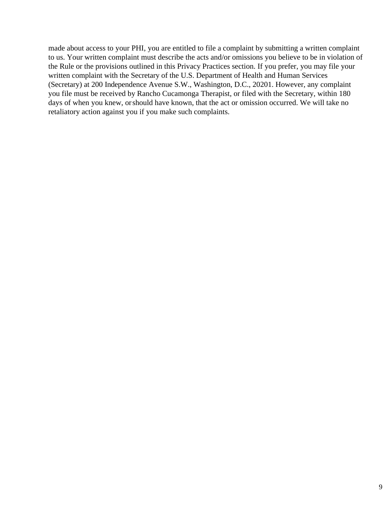made about access to your PHI, you are entitled to file a complaint by submitting a written complaint to us. Your written complaint must describe the acts and/or omissions you believe to be in violation of the Rule or the provisions outlined in this Privacy Practices section. If you prefer, you may file your written complaint with the Secretary of the U.S. Department of Health and Human Services (Secretary) at 200 Independence Avenue S.W., Washington, D.C., 20201. However, any complaint you file must be received by Rancho Cucamonga Therapist, or filed with the Secretary, within 180 days of when you knew, or should have known, that the act or omission occurred. We will take no retaliatory action against you if you make such complaints.